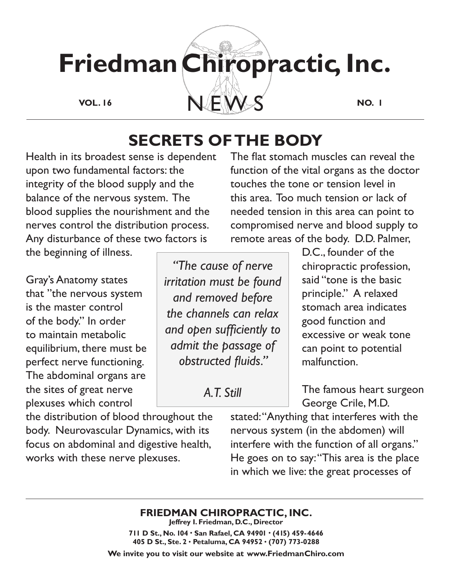

# **SECRETS OF THE BODY**

Health in its broadest sense is dependent upon two fundamental factors: the integrity of the blood supply and the balance of the nervous system. The blood supplies the nourishment and the nerves control the distribution process. Any disturbance of these two factors is

The flat stomach muscles can reveal the function of the vital organs as the doctor touches the tone or tension level in this area. Too much tension or lack of needed tension in this area can point to compromised nerve and blood supply to remote areas of the body. D.D. Palmer,

the beginning of illness.

Gray's Anatomy states that "the nervous system is the master control of the body." In order to maintain metabolic equilibrium, there must be perfect nerve functioning. The abdominal organs are the sites of great nerve plexuses which control

the distribution of blood throughout the body. Neurovascular Dynamics, with its focus on abdominal and digestive health, works with these nerve plexuses.

*"The cause of nerve irritation must be found and removed before the channels can relax and open sufficiently to admit the passage of obstructed fluids."* 

*A.T. Still*

D.C., founder of the chiropractic profession, said "tone is the basic principle." A relaxed stomach area indicates good function and excessive or weak tone can point to potential malfunction.

The famous heart surgeon George Crile, M.D.

stated: "Anything that interferes with the nervous system (in the abdomen) will interfere with the function of all organs." He goes on to say: "This area is the place in which we live: the great processes of

## **FRIEDMAN CHIROPRACTIC, INC.**

**Jeffrey I. Friedman, D.C., Director 711 D St., No. 104 • San Rafael, CA 94901 • (415) 459-4646 405 D St., Ste. 2 • Petaluma, CA 94952 • (707) 773-0288**

**We invite you to visit our website at www.FriedmanChiro.com**